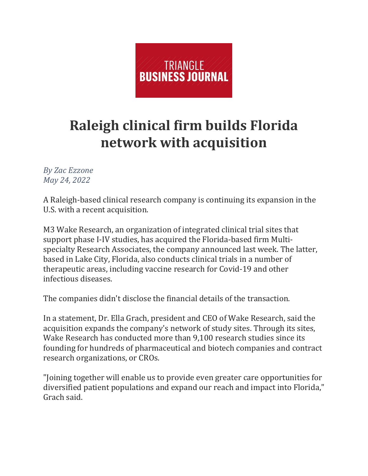

## **Raleigh clinical firm builds Florida network with acquisition**

*By Zac Ezzone May 24, 2022*

A Raleigh-based clinical research company is continuing its expansion in the U.S. with a recent acquisition.

M3 Wake Research, an organization of integrated clinical trial sites that support phase I-IV studies, has acquired the Florida-based firm Multispecialty Research Associates, the company announced last week. The latter, based in Lake City, Florida, also conducts clinical trials in a number of therapeutic areas, including vaccine research for Covid-19 and other infectious diseases.

The companies didn't disclose the financial details of the transaction.

In a statement, Dr. Ella Grach, president and CEO of Wake Research, said the acquisition expands the company's network of study sites. Through its sites, Wake Research has conducted more than 9,100 research studies since its founding for hundreds of pharmaceutical and biotech companies and contract research organizations, or CROs.

"Joining together will enable us to provide even greater care opportunities for diversified patient populations and expand our reach and impact into Florida," Grach said.